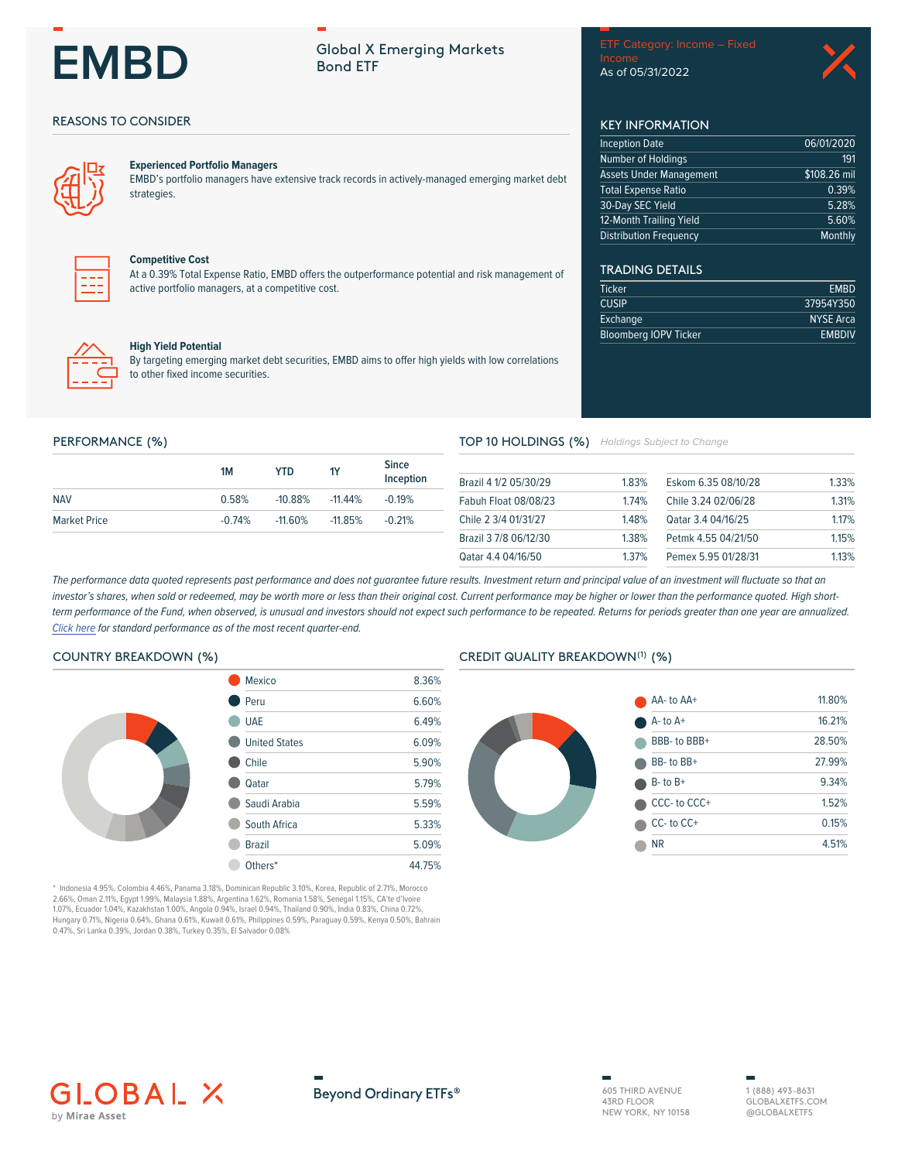# **EMBD**

# **Global X Emerging Markets Bond ETF**

Income As of 05/31/2022

06/01/2020

\$108.26 mil

191

0.39%

5.28%

5.60%

 $EMBD$ 

37954Y350

**NYSE Arca** 

**EMBDIV** 

Monthly

**KEY INFORMATION** 

**Assets Under Management** 

**Inception Date** 

Number of Holdings

**Total Expense Ratio** 

12-Month Trailing Yield

**Distribution Frequency** 

**TRADING DETAILS** 

**Bloomberg IOPV Ticker** 

Ticker

**CUSIP** 

Exchange

30-Day SEC Yield

## **REASONS TO CONSIDER**



#### **Experienced Portfolio Managers**

EMBD's portfolio managers have extensive track records in actively-managed emerging market debt strategies.



#### **Competitive Cost**

At a 0.39% Total Expense Ratio, EMBD offers the outperformance potential and risk management of active portfolio managers, at a competitive cost.



#### **High Yield Potential**

By targeting emerging market debt securities, EMBD aims to offer high yields with low correlations to other fixed income securities.

#### PERFORMANCE (%)

|                     | 1M       | YTD.       | <b>1Y</b>  | <b>Since</b><br>Inception |
|---------------------|----------|------------|------------|---------------------------|
| <b>NAV</b>          | 0.58%    | $-10.88\%$ | $-11.44\%$ | $-0.19\%$                 |
| <b>Market Price</b> | $-0.74%$ | $-11.60\%$ | $-11.85%$  | $-0.21%$                  |

#### TOP 10 HOLDINGS (%) Holdings Subject to Change

| Brazil 4 1/2 05/30/29       | 183%    | Eskom 6.35 08/10/28 | 1.33% |
|-----------------------------|---------|---------------------|-------|
| <b>Fabuh Float 08/08/23</b> | 174%    | Chile 3.24 02/06/28 | 1.31% |
| Chile 2 3/4 01/31/27        | 148%    | Qatar 3.4 04/16/25  | 1.17% |
| Brazil 3 7/8 06/12/30       | 1.38%   | Petmk 4.55 04/21/50 | 115%  |
| Qatar 4.4 04/16/50          | 1 3 7 % | Pemex 5.95 01/28/31 | 113%  |

The performance data quoted represents past performance and does not guarantee future results. Investment return and principal value of an investment will fluctuate so that an investor's shares, when sold or redeemed, may be worth more or less than their original cost. Current performance may be higher or lower than the performance quoted. High shortterm performance of the Fund, when observed, is unusual and investors should not expect such performance to be repeated. Returns for periods greater than one year are annualized. Click here for standard performance as of the most recent quarter-end.

#### **COUNTRY BREAKDOWN (%)**



\* Indonesia 4.95%, Colombia 4.46%, Panama 3.18%, Dominican Republic 3.10%, Korea, Republic of 2.71%, Morocco<br>2.66%, Oman 2.11%, Egypt 1.99%, Malaysia 1.88%, Argentina 1.62%, Romania 1.58%, Senegal 1.15%, CA'te d'Ivoire 1.07%, Ecuador 1.04%, Kazakhstan 1.00%, Angola 0.94%, Israel 0.94%, Thailand 0.90%, India 0.83%, China 0.72%, Hungary 0.71%, Nigeria 0.64%, Ghana 0.61%, Kuwait 0.61%, Philippines 0.59%, Paraguay 0.59%, Kenya 0.50%, Bahrain<br>0.47%, Sri Lanka 0.39%, Jordan 0.38%, Turkey 0.35%, El Salvador 0.08%

### CREDIT QUALITY BREAKDOWN(1) (%)







605 THIRD AVENUE 43RD FLOOR NEW YORK, NY 10158

1 (888) 493-8631 GLOBAL XETES COM @GLOBALXETFS